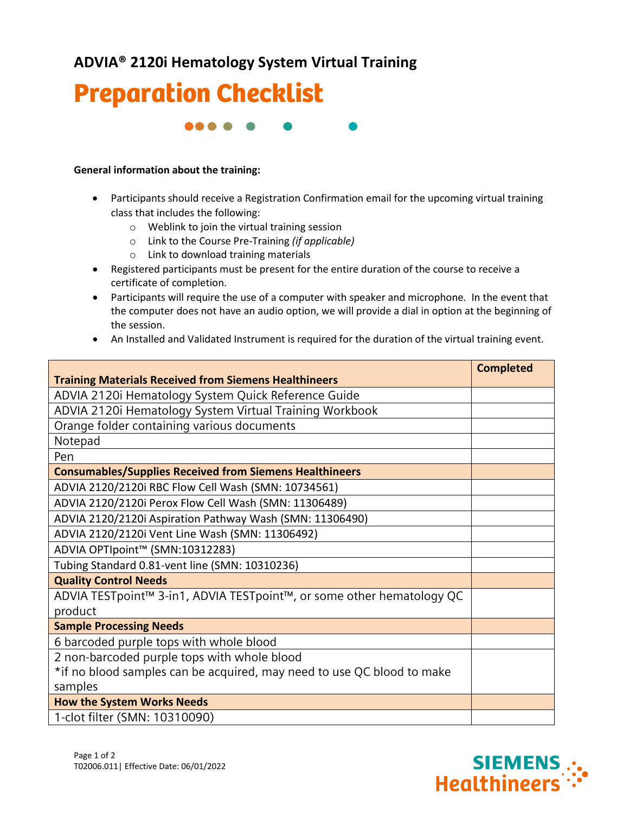**ADVIA® 2120i Hematology System Virtual Training**



88 S S

## **General information about the training:**

- Participants should receive a Registration Confirmation email for the upcoming virtual training class that includes the following:
	- o Weblink to join the virtual training session
	- o Link to the Course Pre-Training *(if applicable)*
	- o Link to download training materials
- Registered participants must be present for the entire duration of the course to receive a certificate of completion.
- Participants will require the use of a computer with speaker and microphone. In the event that the computer does not have an audio option, we will provide a dial in option at the beginning of the session.
- An Installed and Validated Instrument is required for the duration of the virtual training event.

| <b>Training Materials Received from Siemens Healthineers</b>           | <b>Completed</b> |
|------------------------------------------------------------------------|------------------|
| ADVIA 2120i Hematology System Quick Reference Guide                    |                  |
|                                                                        |                  |
| ADVIA 2120i Hematology System Virtual Training Workbook                |                  |
| Orange folder containing various documents                             |                  |
| Notepad                                                                |                  |
| Pen                                                                    |                  |
| <b>Consumables/Supplies Received from Siemens Healthineers</b>         |                  |
| ADVIA 2120/2120i RBC Flow Cell Wash (SMN: 10734561)                    |                  |
| ADVIA 2120/2120i Perox Flow Cell Wash (SMN: 11306489)                  |                  |
| ADVIA 2120/2120i Aspiration Pathway Wash (SMN: 11306490)               |                  |
| ADVIA 2120/2120i Vent Line Wash (SMN: 11306492)                        |                  |
| ADVIA OPTIpoint™ (SMN:10312283)                                        |                  |
| Tubing Standard 0.81-vent line (SMN: 10310236)                         |                  |
| <b>Quality Control Needs</b>                                           |                  |
| ADVIA TESTpoint™ 3-in1, ADVIA TESTpoint™, or some other hematology QC  |                  |
| product                                                                |                  |
| <b>Sample Processing Needs</b>                                         |                  |
| 6 barcoded purple tops with whole blood                                |                  |
| 2 non-barcoded purple tops with whole blood                            |                  |
| *if no blood samples can be acquired, may need to use QC blood to make |                  |
| samples                                                                |                  |
| <b>How the System Works Needs</b>                                      |                  |
| 1-clot filter (SMN: 10310090)                                          |                  |